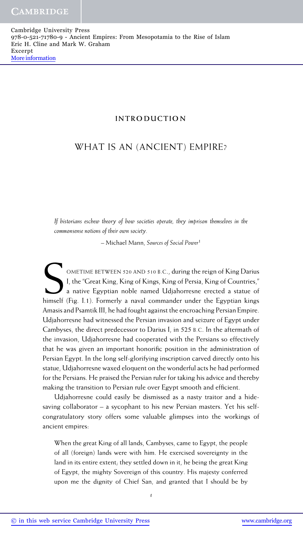## **INTRODUCTION**

# WHAT IS AN (ANCIENT) EMPIRE?

*If historians eschew theory of how societies operate, they imprison themselves in the commonsense notions of their own society.*

– Michael Mann, *Sources of Social Power*<sup>1</sup>

OMETIME BETWEEN 520 AND 510 B.C., during the reign of King Darius I, the "Great King, King of Kings, King of Persia, King of Countries," a native Egyptian noble named Udjahorresne erected a statue of himself (Fig. I.1). Formerly a naval commander under the Egyptian kings Amasis and Psamtik III, he had fought against the encroaching Persian Empire. Udjahorresne had witnessed the Persian invasion and seizure of Egypt under Cambyses, the direct predecessor to Darius I, in 525 B.C. In the aftermath of the invasion, Udjahorresne had cooperated with the Persians so effectively that he was given an important honorific position in the administration of Persian Egypt. In the long self-glorifying inscription carved directly onto his statue, Udjahorresne waxed eloquent on the wonderful acts he had performed for the Persians. He praised the Persian ruler for taking his advice and thereby making the transition to Persian rule over Egypt smooth and efficient.

Udjahorresne could easily be dismissed as a nasty traitor and a hidesaving collaborator – a sycophant to his new Persian masters. Yet his selfcongratulatory story offers some valuable glimpses into the workings of ancient empires:

When the great King of all lands, Cambyses, came to Egypt, the people of all (foreign) lands were with him. He exercised sovereignty in the land in its entire extent; they settled down in it, he being the great King of Egypt, the mighty Sovereign of this country. His majesty conferred upon me the dignity of Chief San, and granted that I should be by

*1*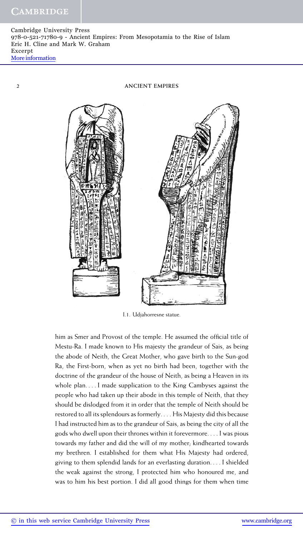Cambridge University Press 978-0-521-71780-9 - Ancient Empires: From Mesopotamia to the Rise of Islam Eric H. Cline and Mark W. Graham Excerpt [More information](http://www.cambridge.org/9780521717809)

*2* **ANCIENT EMPIRES**



I.1. Udjahorresne statue.

him as Smer and Provost of the temple. He assumed the official title of Mestu-Ra. I made known to His majesty the grandeur of Sais, as being the abode of Neith, the Great Mother, who gave birth to the Sun-god Ra, the First-born, when as yet no birth had been, together with the doctrine of the grandeur of the house of Neith, as being a Heaven in its whole plan. ...I made supplication to the King Cambyses against the people who had taken up their abode in this temple of Neith, that they should be dislodged from it in order that the temple of Neith should be restored to all its splendours as formerly. . . . His Majesty did this because I had instructed him as to the grandeur of Sais, as being the city of all the gods who dwell upon their thrones within it forevermore. . . . I was pious towards my father and did the will of my mother; kindhearted towards my brethren. I established for them what His Majesty had ordered, giving to them splendid lands for an everlasting duration. ...I shielded the weak against the strong, I protected him who honoured me, and was to him his best portion. I did all good things for them when time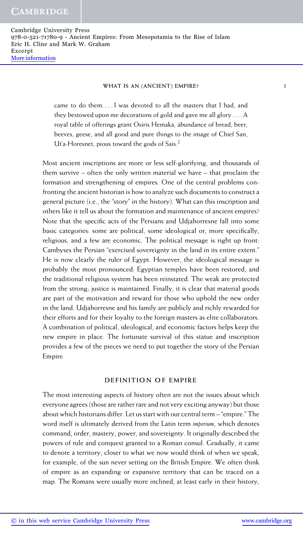came to do them. . . . I was devoted to all the masters that I had, and they bestowed upon me decorations of gold and gave me all glory....A royal table of offerings grant Osiris Hemaka, abundance of bread, beer, beeves, geese, and all good and pure things to the image of Chief San, Ut'a-Horesnet, pious toward the gods of Sais.<sup>2</sup>

Most ancient inscriptions are more or less self-glorifying, and thousands of them survive – often the only written material we have – that proclaim the formation and strengthening of empires. One of the central problems confronting the ancient historian is how to analyze such documents to construct a general picture (i.e., the "story" in the history). What can this inscription and others like it tell us about the formation and maintenance of ancient empires? Note that the specific acts of the Persians and Udjahorresne fall into some basic categories: some are political, some ideological or, more specifically, religious, and a few are economic. The political message is right up front: Cambyses the Persian "exercised sovereignty in the land in its entire extent." He is now clearly the ruler of Egypt. However, the ideological message is probably the most pronounced: Egyptian temples have been restored, and the traditional religious system has been reinstated. The weak are protected from the strong; justice is maintained. Finally, it is clear that material goods are part of the motivation and reward for those who uphold the new order in the land. Udjahorresne and his family are publicly and richly rewarded for their efforts and for their loyalty to the foreign masters as elite collaborators. A combination of political, ideological, and economic factors helps keep the new empire in place. The fortunate survival of this statue and inscription provides a few of the pieces we need to put together the story of the Persian Empire.

## **DEFINITION OF EMPIRE**

The most interesting aspects of history often are not the issues about which everyone agrees (those are rather rare and not very exciting anyway) but those about which historians differ. Let us start with our central term – "empire." The word itself is ultimately derived from the Latin term *imperium*, which denotes command, order, mastery, power, and sovereignty. It originally described the powers of rule and conquest granted to a Roman consul. Gradually, it came to denote a territory, closer to what we now would think of when we speak, for example, of the sun never setting on the British Empire. We often think of empire as an expanding or expansive territory that can be traced on a map. The Romans were usually more inclined, at least early in their history,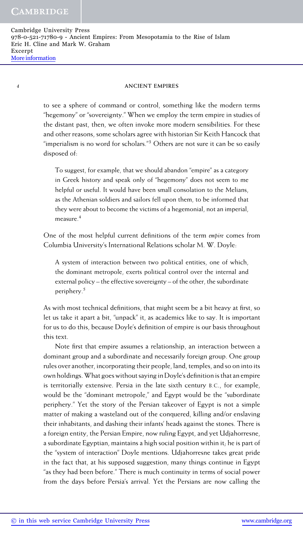*4* **ANCIENT EMPIRES**

to see a sphere of command or control, something like the modern terms "hegemony" or "sovereignty." When we employ the term empire in studies of the distant past, then, we often invoke more modern sensibilities. For these and other reasons, some scholars agree with historian Sir Keith Hancock that "imperialism is no word for scholars." $3$  Others are not sure it can be so easily disposed of:

To suggest, for example, that we should abandon "empire" as a category in Greek history and speak only of "hegemony" does not seem to me helpful or useful. It would have been small consolation to the Melians, as the Athenian soldiers and sailors fell upon them, to be informed that they were about to become the victims of a hegemonial, not an imperial, measure.<sup>4</sup>

One of the most helpful current definitions of the term *empire* comes from Columbia University's International Relations scholar M. W. Doyle:

A system of interaction between two political entities, one of which, the dominant metropole, exerts political control over the internal and external policy – the effective sovereignty – of the other, the subordinate periphery.<sup>5</sup>

As with most technical definitions, that might seem be a bit heavy at first, so let us take it apart a bit, "unpack" it, as academics like to say. It is important for us to do this, because Doyle's definition of empire is our basis throughout this text.

Note first that empire assumes a relationship, an interaction between a dominant group and a subordinate and necessarily foreign group. One group rules over another, incorporating their people, land, temples, and so on into its own holdings.What goes without saying in Doyle's definition is that an empire is territorially extensive. Persia in the late sixth century B.C., for example, would be the "dominant metropole," and Egypt would be the "subordinate periphery." Yet the story of the Persian takeover of Egypt is not a simple matter of making a wasteland out of the conquered, killing and/or enslaving their inhabitants, and dashing their infants' heads against the stones. There is a foreign entity, the Persian Empire, now ruling Egypt, and yet Udjahorresne, a subordinate Egyptian, maintains a high social position within it; he is part of the "system of interaction" Doyle mentions. Udjahorresne takes great pride in the fact that, at his supposed suggestion, many things continue in Egypt "as they had been before." There is much continuity in terms of social power from the days before Persia's arrival. Yet the Persians are now calling the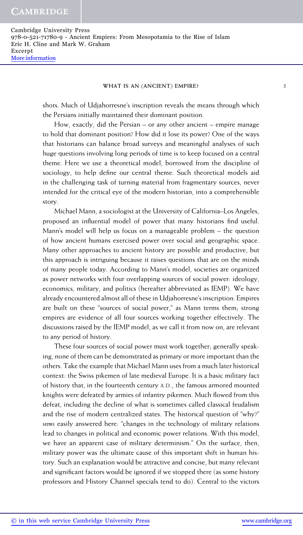shots. Much of Udjahorresne's inscription reveals the means through which the Persians initially maintained their dominant position.

How, exactly, did the Persian – or any other ancient – empire manage to hold that dominant position? How did it lose its power? One of the ways that historians can balance broad surveys and meaningful analyses of such huge questions involving long periods of time is to keep focused on a central theme. Here we use a theoretical model, borrowed from the discipline of sociology, to help define our central theme. Such theoretical models aid in the challenging task of turning material from fragmentary sources, never intended for the critical eye of the modern historian, into a comprehensible story.

Michael Mann, a sociologist at the University of California–Los Angeles, proposed an influential model of power that many historians find useful. Mann's model will help us focus on a manageable problem – the question of how ancient humans exercised power over social and geographic space. Many other approaches to ancient history are possible and productive, but this approach is intriguing because it raises questions that are on the minds of many people today. According to Mann's model, societies are organized as power networks with four overlapping sources of social power: ideology, economics, military, and politics (hereafter abbreviated as IEMP). We have already encountered almost all of these in Udjahorresne's inscription. Empires are built on these "sources of social power," as Mann terms them; strong empires are evidence of all four sources working together effectively. The discussions raised by the IEMP model, as we call it from now on, are relevant to any period of history.

These four sources of social power must work together; generally speaking, none of them can be demonstrated as primary or more important than the others. Take the example that Michael Mann uses from a much later historical context: the Swiss pikemen of late medieval Europe. It is a basic military fact of history that, in the fourteenth century A.D., the famous armored mounted knights were defeated by armies of infantry pikemen. Much flowed from this defeat, including the decline of what is sometimes called classical feudalism and the rise of modern centralized states. The historical question of "why?" *seems* easily answered here: "changes in the technology of military relations lead to changes in political and economic power relations. With this model, we have an apparent case of military determinism." On the surface, then, military power was the ultimate cause of this important shift in human history. Such an explanation would be attractive and concise, but many relevant and significant factors would be ignored if we stopped there (as some history professors and History Channel specials tend to do). Central to the victors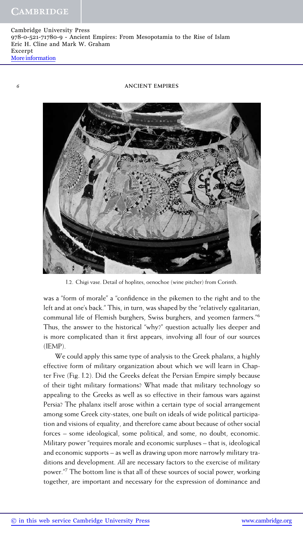## *6* **ANCIENT EMPIRES**



I.2. Chigi vase. Detail of hoplites, oenochoe (wine pitcher) from Corinth.

was a "form of morale" a "confidence in the pikemen to the right and to the left and at one's back." This, in turn, was shaped by the "relatively egalitarian, communal life of Flemish burghers, Swiss burghers, and yeomen farmers."6 Thus, the answer to the historical "why?" question actually lies deeper and is more complicated than it first appears, involving all four of our sources (IEMP).

We could apply this same type of analysis to the Greek phalanx, a highly effective form of military organization about which we will learn in Chapter Five (Fig. I.2). Did the Greeks defeat the Persian Empire simply because of their tight military formations? What made that military technology so appealing to the Greeks as well as so effective in their famous wars against Persia? The phalanx itself arose within a certain type of social arrangement among some Greek city-states, one built on ideals of wide political participation and visions of equality, and therefore came about because of other social forces – some ideological, some political, and some, no doubt, economic. Military power "requires morale and economic surpluses – that is, ideological and economic supports – as well as drawing upon more narrowly military traditions and development. *All* are necessary factors to the exercise of military power."7 The bottom line is that all of these sources of social power, working together, are important and necessary for the expression of dominance and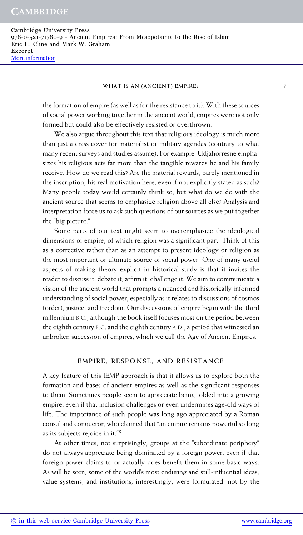the formation of empire (as well as for the resistance to it). With these sources of social power working together in the ancient world, empires were not only formed but could also be effectively resisted or overthrown.

We also argue throughout this text that religious ideology is much more than just a crass cover for materialist or military agendas (contrary to what many recent surveys and studies assume). For example, Udjahorresne emphasizes his religious acts far more than the tangible rewards he and his family receive. How do we read this? Are the material rewards, barely mentioned in the inscription, his real motivation here, even if not explicitly stated as such? Many people today would certainly think so, but what do we do with the ancient source that seems to emphasize religion above all else? Analysis and interpretation force us to ask such questions of our sources as we put together the "big picture."

Some parts of our text might seem to overemphasize the ideological dimensions of empire, of which religion was a significant part. Think of this as a corrective rather than as an attempt to present ideology or religion as the most important or ultimate source of social power. One of many useful aspects of making theory explicit in historical study is that it invites the reader to discuss it, debate it, affirm it, challenge it. We aim to communicate a vision of the ancient world that prompts a nuanced and historically informed understanding of social power, especially as it relates to discussions of cosmos (order), justice, and freedom. Our discussions of empire begin with the third millennium B.C., although the book itself focuses most on the period between the eighth century B.C. and the eighth century A.D., a period that witnessed an unbroken succession of empires, which we call the Age of Ancient Empires.

## **EMPIRE, RESPONSE, AND RESISTANCE**

A key feature of this IEMP approach is that it allows us to explore both the formation and bases of ancient empires as well as the significant responses to them. Sometimes people seem to appreciate being folded into a growing empire, even if that inclusion challenges or even undermines age-old ways of life. The importance of such people was long ago appreciated by a Roman consul and conqueror, who claimed that "an empire remains powerful so long as its subjects rejoice in it."<sup>8</sup>

At other times, not surprisingly, groups at the "subordinate periphery" do not always appreciate being dominated by a foreign power, even if that foreign power claims to or actually does benefit them in some basic ways. As will be seen, some of the world's most enduring and still-influential ideas, value systems, and institutions, interestingly, were formulated, not by the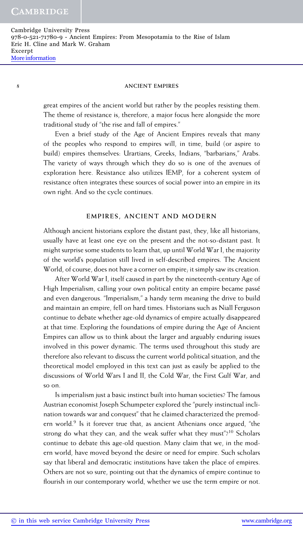#### *8* **ANCIENT EMPIRES**

great empires of the ancient world but rather by the peoples resisting them. The theme of resistance is, therefore, a major focus here alongside the more traditional study of "the rise and fall of empires."

Even a brief study of the Age of Ancient Empires reveals that many of the peoples who respond to empires will, in time, build (or aspire to build) empires themselves: Urartians, Greeks, Indians, "barbarians," Arabs. The variety of ways through which they do so is one of the avenues of exploration here. Resistance also utilizes IEMP, for a coherent system of resistance often integrates these sources of social power into an empire in its own right. And so the cycle continues.

#### **EMPIRES, ANCIENT AND MODERN**

Although ancient historians explore the distant past, they, like all historians, usually have at least one eye on the present and the not-so-distant past. It might surprise some students to learn that, up until World War I, the majority of the world's population still lived in self-described empires. The Ancient World, of course, does not have a corner on empire; it simply saw its creation.

After World War I, itself caused in part by the nineteenth-century Age of High Imperialism, calling your own political entity an empire became passé and even dangerous. "Imperialism," a handy term meaning the drive to build and maintain an empire, fell on hard times. Historians such as Niall Ferguson continue to debate whether age-old dynamics of empire actually disappeared at that time. Exploring the foundations of empire during the Age of Ancient Empires can allow us to think about the larger and arguably enduring issues involved in this power dynamic. The terms used throughout this study are therefore also relevant to discuss the current world political situation, and the theoretical model employed in this text can just as easily be applied to the discussions of World Wars I and II, the Cold War, the First Gulf War, and so on.

Is imperialism just a basic instinct built into human societies? The famous Austrian economist Joseph Schumpeter explored the "purely instinctual inclination towards war and conquest" that he claimed characterized the premodern world.<sup>9</sup> Is it forever true that, as ancient Athenians once argued, "the strong do what they can, and the weak suffer what they must"?<sup>10</sup> Scholars continue to debate this age-old question. Many claim that we, in the modern world, have moved beyond the desire or need for empire. Such scholars say that liberal and democratic institutions have taken the place of empires. Others are not so sure, pointing out that the dynamics of empire continue to flourish in our contemporary world, whether we use the term empire or not.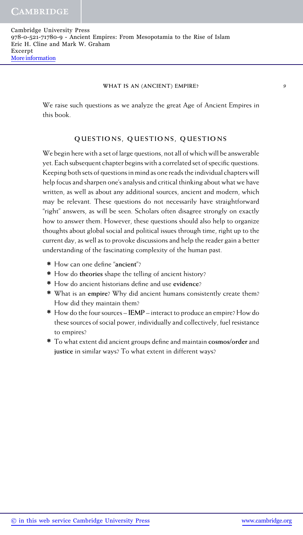We raise such questions as we analyze the great Age of Ancient Empires in this book.

# **QUESTIONS, QUESTIONS, QUESTIONS**

We begin here with a set of large questions, not all of which will be answerable yet. Each subsequent chapter begins with a correlated set of specific questions. Keeping both sets of questions in mind as one reads the individual chapters will help focus and sharpen one's analysis and critical thinking about what we have written, as well as about any additional sources, ancient and modern, which may be relevant. These questions do not necessarily have straightforward "right" answers, as will be seen. Scholars often disagree strongly on exactly how to answer them. However, these questions should also help to organize thoughts about global social and political issues through time, right up to the current day, as well as to provoke discussions and help the reader gain a better understanding of the fascinating complexity of the human past.

- **∗** How can one define "**ancient**"?
- **∗** How do **theories** shape the telling of ancient history?
- **∗** How do ancient historians define and use **evidence**?
- **∗** What is an **empire**? Why did ancient humans consistently create them? How did they maintain them?
- **∗** How do the four sources **IEMP** interact to produce an empire? How do these sources of social power, individually and collectively, fuel resistance to empires?
- **∗** To what extent did ancient groups define and maintain **cosmos/order** and **justice** in similar ways? To what extent in different ways?